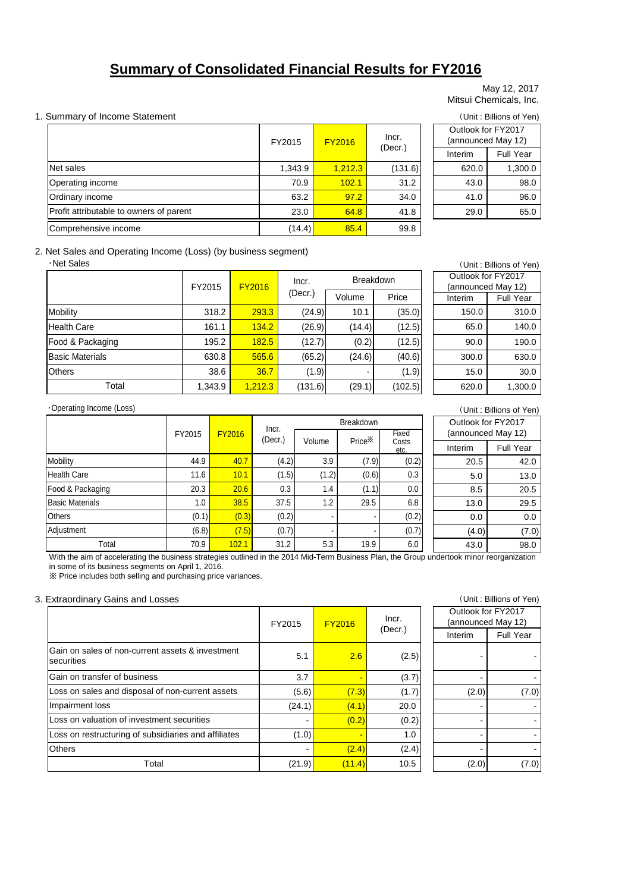# **Summary of Consolidated Financial Results for FY2016**

#### May 12, 2017 Mitsui Chemicals, Inc.

#### 1. Summary of Income Statement (Unit: Billions of Yen)

|                                         | FY2015  | <b>FY2016</b> | Incr.   |  | Outlook for FY2017<br>(announced May 12) |           |
|-----------------------------------------|---------|---------------|---------|--|------------------------------------------|-----------|
|                                         |         |               | (Decr.) |  | Interim                                  | Full Year |
| Net sales                               | 1.343.9 | 1.212.3       | (131.6) |  | 620.0                                    | 1,300.0   |
| Operating income                        | 70.9    | 102.1         | 31.2    |  | 43.0                                     | 98.0      |
| Ordinary income                         | 63.2    | 97.2          | 34.0    |  | 41.0                                     | 96.0      |
| Profit attributable to owners of parent | 23.0    | 64.8          | 41.8    |  | 29.0                                     | 65.0      |
| Comprehensive income                    | (14.4)  | 85.4          | 99.8    |  |                                          |           |

| Outlook for FY2017<br>(announced May 12) |         |  |  |  |  |  |  |
|------------------------------------------|---------|--|--|--|--|--|--|
|                                          |         |  |  |  |  |  |  |
| <b>Full Year</b><br>Interim              |         |  |  |  |  |  |  |
| 620.0                                    | 1,300.0 |  |  |  |  |  |  |
| 43.0                                     | 98.0    |  |  |  |  |  |  |
| 41.0                                     | 96.0    |  |  |  |  |  |  |
| 29.0<br>65.0                             |         |  |  |  |  |  |  |
|                                          |         |  |  |  |  |  |  |

2. Net Sales and Operating Income (Loss) (by business segment)

・Net Sales

|                        | FY2015  | <b>FY2016</b> | Incr.   | <b>Breakdown</b> |         |
|------------------------|---------|---------------|---------|------------------|---------|
|                        |         |               | (Decr.) | Volume           | Price   |
| Mobility               | 318.2   | 293.3         | (24.9)  | 10.1             | (35.0)  |
| <b>Health Care</b>     | 161.1   | 134.2         | (26.9)  | (14.4)           | (12.5)  |
| Food & Packaging       | 195.2   | 182.5         | (12.7)  | (0.2)            | (12.5)  |
| <b>Basic Materials</b> | 630.8   | 565.6         | (65.2)  | (24.6)           | (40.6)  |
| <b>Others</b>          | 38.6    | 36.7          | (1.9)   |                  | (1.9)   |
| Total                  | 1,343.9 | 1,212.3       | (131.6) | (29.1)           | (102.5) |

(Unit : Billions of Yen) Interim Full Year 150.0 310.0 65.0 140.0 90.0 190.0 300.0 630.0 15.0 30.0 620.0 1,300.0 Outlook for FY2017 (announced May 12)

#### ・Operating Income (Loss)

| Operating Income (Loss) |        |               |         |        |                    |               |                    | (Unit: Billions of Yen) |
|-------------------------|--------|---------------|---------|--------|--------------------|---------------|--------------------|-------------------------|
|                         |        |               | Incr.   |        | <b>Breakdown</b>   |               | Outlook for FY2017 |                         |
|                         | FY2015 | <b>FY2016</b> | (Decr.) | Volume | Price <sup>×</sup> | Fixed         | (announced May 12) |                         |
|                         |        |               |         |        |                    | Costs<br>etc. | Interim            | <b>Full Year</b>        |
| Mobility                | 44.9   | 40.7          | (4.2)   | 3.9    | (7.9)              | (0.2)         | 20.5               | 42.0                    |
| <b>Health Care</b>      | 11.6   | 10.1          | (1.5)   | (1.2)  | (0.6)              | 0.3           | 5.0                | 13.0                    |
| Food & Packaging        | 20.3   | 20.6          | 0.3     | 1.4    | (1.1)              | 0.0           | 8.5                | 20.5                    |
| <b>Basic Materials</b>  | 1.0    | 38.5          | 37.5    | 1.2    | 29.5               | 6.8           | 13.0               | 29.5                    |
| <b>Others</b>           | (0.1)  | (0.3)         | (0.2)   |        |                    | (0.2)         | 0.0                | 0.0                     |
| Adjustment              | (6.8)  | (7.5)         | (0.7)   |        |                    | (0.7)         | (4.0)              | (7.0)                   |
| Total                   | 70.9   | 102.1         | 31.2    | 5.3    | 19.9               | 6.0           | 43.0               | 98.0                    |

With the aim of accelerating the business strategies outlined in the 2014 Mid-Term Business Plan, the Group undertook minor reorganization in some of its business segments on April 1, 2016.

※ Price includes both selling and purchasing price variances.

#### 3. Extraordinary Gains and Losses

|                                                                        | FY2015 | <b>FY2016</b> | lncr.   |         | Outlook for FY2017 | (announced May 12) |
|------------------------------------------------------------------------|--------|---------------|---------|---------|--------------------|--------------------|
|                                                                        |        |               | (Decr.) | Interim | Full Year          |                    |
| Gain on sales of non-current assets & investment<br><b>Isecurities</b> | 5.1    | 2.6           | (2.5)   |         |                    |                    |
| Gain on transfer of business                                           | 3.7    |               | (3.7)   |         |                    |                    |
| Loss on sales and disposal of non-current assets                       | (5.6)  | (7.3)         | (1.7)   | (2.0)   | (7.0)              |                    |
| Impairment loss                                                        | (24.1) | (4.1)         | 20.0    |         |                    |                    |
| Loss on valuation of investment securities                             |        | (0.2)         | (0.2)   |         |                    |                    |
| Loss on restructuring of subsidiaries and affiliates                   | (1.0)  | -             | 1.0     |         |                    |                    |
| <b>Others</b>                                                          |        | (2.4)         | (2.4)   |         |                    |                    |
| Total                                                                  | (21.9) | (11.4)        | 10.5    | (2.0)   | (7.0)              |                    |

|                    | (Unit: Billions of Yen) |  |  |  |  |  |
|--------------------|-------------------------|--|--|--|--|--|
| Outlook for FY2017 |                         |  |  |  |  |  |
|                    | (announced May 12)      |  |  |  |  |  |
| Interim            | Full Year               |  |  |  |  |  |
|                    |                         |  |  |  |  |  |
|                    |                         |  |  |  |  |  |
| (2.0)              | (7.0)                   |  |  |  |  |  |
|                    |                         |  |  |  |  |  |
|                    |                         |  |  |  |  |  |
|                    |                         |  |  |  |  |  |
|                    |                         |  |  |  |  |  |
| (2.0               | 7.0                     |  |  |  |  |  |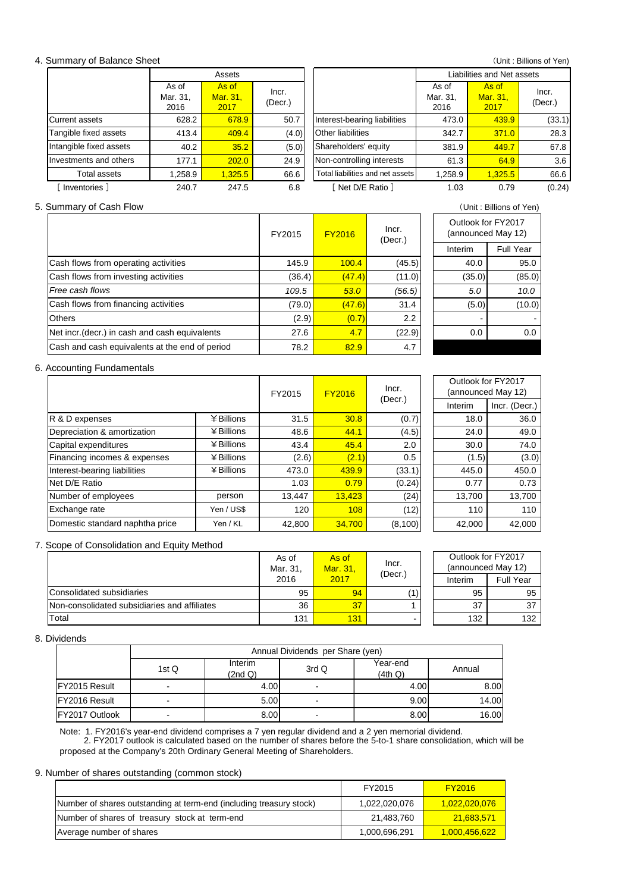#### 4. Summary of Balance Sheet

|                         |                           | Assets                    |                  |                                  |                           | Liabilities and Net assets |                  |
|-------------------------|---------------------------|---------------------------|------------------|----------------------------------|---------------------------|----------------------------|------------------|
|                         | As of<br>Mar. 31,<br>2016 | As of<br>Mar. 31,<br>2017 | Incr.<br>(Decr.) |                                  | As of<br>Mar. 31,<br>2016 | As of<br>Mar. 31,<br>2017  | Incr.<br>(Decr.) |
| Current assets          | 628.2                     | 678.9                     | 50.7             | Interest-bearing liabilities     | 473.0                     | 439.9                      | (33.1)           |
| Tangible fixed assets   | 413.4                     | 409.4                     | (4.0)            | <b>Other liabilities</b>         | 342.7                     | 371.0                      | 28.3             |
| Intangible fixed assets | 40.2                      | 35.2                      | (5.0)            | Shareholders' equity             | 381.9                     | 449.7                      | 67.8             |
| Investments and others  | 177.1                     | 202.0                     | 24.9             | Non-controlling interests        | 61.3                      | 64.9                       | 3.6              |
| <b>Total assets</b>     | 1,258.9                   | 1.325.5                   | 66.6             | Total liabilities and net assets | 1,258.9                   | 1,325.5                    | 66.6             |
| Inventories ]           | 240.7                     | 247.5                     | 6.8              | Net D/E Ratio 1                  | 1.03                      | 0.79                       | (0.24)           |

#### 5. Summary of Cash Flow (Unit : Billions of Yen)

|                                                | FY2015 | <b>FY2016</b> | Incr.<br>(Decr.) |  |         | Outlook for FY2017<br>(announced May 12) |  |
|------------------------------------------------|--------|---------------|------------------|--|---------|------------------------------------------|--|
|                                                |        |               |                  |  | Interim | <b>Full Year</b>                         |  |
| Cash flows from operating activities           | 145.9  | 100.4         | (45.5)           |  | 40.0    | 95.0                                     |  |
| Cash flows from investing activities           | (36.4) | (47.4)        | (11.0)           |  | (35.0)  | (85.0)                                   |  |
| Free cash flows                                | 109.5  | 53.0          | (56.5)           |  | 5.0     | 10.0                                     |  |
| Cash flows from financing activities           | (79.0) | (47.6)        | 31.4             |  | (5.0)   | (10.0)                                   |  |
| <b>Others</b>                                  | (2.9)  | (0.7)         | $2.2\phantom{0}$ |  | -       |                                          |  |
| Net incr. (decr.) in cash and cash equivalents | 27.6   | 4.7           | (22.9)           |  | 0.0     | 0.0                                      |  |
| Cash and cash equivalents at the end of period | 78.2   | 82.9          | 4.7              |  |         |                                          |  |

### 6. Accounting Fundamentals

|                                 |              | FY2015<br><b>FY2016</b> |        | Incr.   | Outlook for FY2017 | (announced May 12) |
|---------------------------------|--------------|-------------------------|--------|---------|--------------------|--------------------|
|                                 |              |                         |        | (Decr.) | Interim            | Incr. (Decr.)      |
| R & D expenses                  | ¥ Billions   | 31.5                    | 30.8   | (0.7)   | 18.0               | 36.0               |
| Depreciation & amortization     | ¥ Billions   | 48.6                    | 44.1   | (4.5)   | 24.0               | 49.0               |
| Capital expenditures            | ¥ Billions   | 43.4                    | 45.4   | 2.0     | 30.0               | 74.0               |
| Financing incomes & expenses    | $¥$ Billions | (2.6)                   | (2.1)  | 0.5     | (1.5)              | (3.0)              |
| Interest-bearing liabilities    | ¥ Billions   | 473.0                   | 439.9  | (33.1)  | 445.0              | 450.0              |
| Net D/E Ratio                   |              | 1.03                    | 0.79   | (0.24)  | 0.77               | 0.73               |
| Number of employees             | person       | 13,447                  | 13,423 | (24)    | 13,700             | 13,700             |
| Exchange rate                   | Yen / US\$   | 120                     | 108    | (12)    | 110                | 110                |
| Domestic standard naphtha price | Yen / KL     | 42.800                  | 34.700 | (8,100) | 42,000             | 42,000             |

### 7. Scope of Consolidation and Equity Method

|                                              | As of<br>Mar. 31. | As of<br>Mar. 31. | Incr.<br>(Decr.) |         | Outlook for FY2017<br>(announced May 12) |
|----------------------------------------------|-------------------|-------------------|------------------|---------|------------------------------------------|
|                                              | 2016              | 2017              |                  | Interim | <b>Full Year</b>                         |
| Consolidated subsidiaries                    | 95                | 94                | (1)              | 95      | 95                                       |
| Non-consolidated subsidiaries and affiliates | 36                | 37                |                  | 37      | 37                                       |
| Total                                        | 131               | 131               |                  | 132     | 132                                      |

### 8. Dividends

|                      | Annual Dividends per Share (yen) |                    |                          |                     |        |  |  |  |  |
|----------------------|----------------------------------|--------------------|--------------------------|---------------------|--------|--|--|--|--|
|                      | 1st Q                            | Interim<br>(2nd Q) | 3rdQ                     | Year-end<br>(4th Q) | Annual |  |  |  |  |
| <b>FY2015 Result</b> | -                                | 4.00               | $\overline{\phantom{a}}$ | 4.00                | 8.00   |  |  |  |  |
| FY2016 Result        | -                                | 5.00               | $\overline{\phantom{0}}$ | 9.00                | 14.00  |  |  |  |  |
| FY2017 Outlook       | -                                | 8.00               | -                        | 8.00                | 16.00  |  |  |  |  |

Note: 1. FY2016's year-end dividend comprises a 7 yen regular dividend and a 2 yen memorial dividend. 2. FY2017 outlook is calculated based on the number of shares before the 5-to-1 share consolidation, which will be proposed at the Company's 20th Ordinary General Meeting of Shareholders.

#### 9. Number of shares outstanding (common stock)

|                                                                     | FY2015        | <b>FY2016</b>        |
|---------------------------------------------------------------------|---------------|----------------------|
| Number of shares outstanding at term-end (including treasury stock) | 1,022,020,076 | <u>1,022,020,076</u> |
| Number of shares of treasury stock at term-end                      | 21,483,760    | 21,683,571           |
| Average number of shares                                            | 1,000,696,291 | <u>1,000,456,622</u> |

| Outlook for FY2017<br>(announced May 12) |           |  |  |  |
|------------------------------------------|-----------|--|--|--|
| Interim                                  | Full Year |  |  |  |
| 40.0                                     | 95.0      |  |  |  |
| (35.0)                                   | (85.0)    |  |  |  |
| 5.0                                      | 10.0      |  |  |  |
| (5.0)                                    | (10.0)    |  |  |  |
|                                          |           |  |  |  |
| 0.0                                      | 0.0       |  |  |  |
|                                          |           |  |  |  |
|                                          |           |  |  |  |

(Unit : Billions of Yen)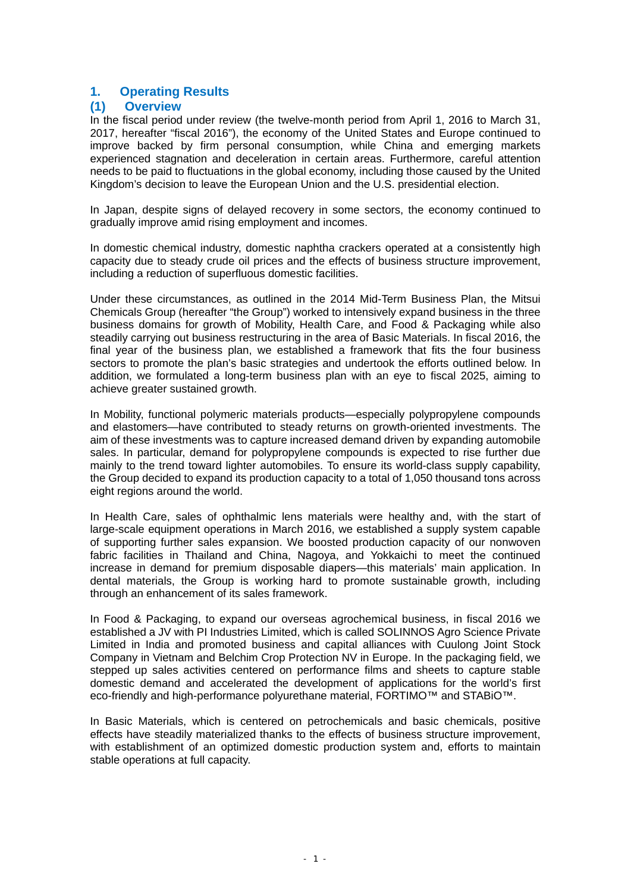# **1. Operating Results**

### **(1) Overview**

In the fiscal period under review (the twelve-month period from April 1, 2016 to March 31, 2017, hereafter "fiscal 2016"), the economy of the United States and Europe continued to improve backed by firm personal consumption, while China and emerging markets experienced stagnation and deceleration in certain areas. Furthermore, careful attention needs to be paid to fluctuations in the global economy, including those caused by the United Kingdom's decision to leave the European Union and the U.S. presidential election.

In Japan, despite signs of delayed recovery in some sectors, the economy continued to gradually improve amid rising employment and incomes.

In domestic chemical industry, domestic naphtha crackers operated at a consistently high capacity due to steady crude oil prices and the effects of business structure improvement, including a reduction of superfluous domestic facilities.

Under these circumstances, as outlined in the 2014 Mid-Term Business Plan, the Mitsui Chemicals Group (hereafter "the Group") worked to intensively expand business in the three business domains for growth of Mobility, Health Care, and Food & Packaging while also steadily carrying out business restructuring in the area of Basic Materials. In fiscal 2016, the final year of the business plan, we established a framework that fits the four business sectors to promote the plan's basic strategies and undertook the efforts outlined below. In addition, we formulated a long-term business plan with an eye to fiscal 2025, aiming to achieve greater sustained growth.

In Mobility, functional polymeric materials products—especially polypropylene compounds and elastomers—have contributed to steady returns on growth-oriented investments. The aim of these investments was to capture increased demand driven by expanding automobile sales. In particular, demand for polypropylene compounds is expected to rise further due mainly to the trend toward lighter automobiles. To ensure its world-class supply capability, the Group decided to expand its production capacity to a total of 1,050 thousand tons across eight regions around the world.

In Health Care, sales of ophthalmic lens materials were healthy and, with the start of large-scale equipment operations in March 2016, we established a supply system capable of supporting further sales expansion. We boosted production capacity of our nonwoven fabric facilities in Thailand and China, Nagoya, and Yokkaichi to meet the continued increase in demand for premium disposable diapers—this materials' main application. In dental materials, the Group is working hard to promote sustainable growth, including through an enhancement of its sales framework.

In Food & Packaging, to expand our overseas agrochemical business, in fiscal 2016 we established a JV with PI Industries Limited, which is called SOLINNOS Agro Science Private Limited in India and promoted business and capital alliances with Cuulong Joint Stock Company in Vietnam and Belchim Crop Protection NV in Europe. In the packaging field, we stepped up sales activities centered on performance films and sheets to capture stable domestic demand and accelerated the development of applications for the world's first eco-friendly and high-performance polyurethane material, FORTIMO™ and STABiO™.

In Basic Materials, which is centered on petrochemicals and basic chemicals, positive effects have steadily materialized thanks to the effects of business structure improvement, with establishment of an optimized domestic production system and, efforts to maintain stable operations at full capacity.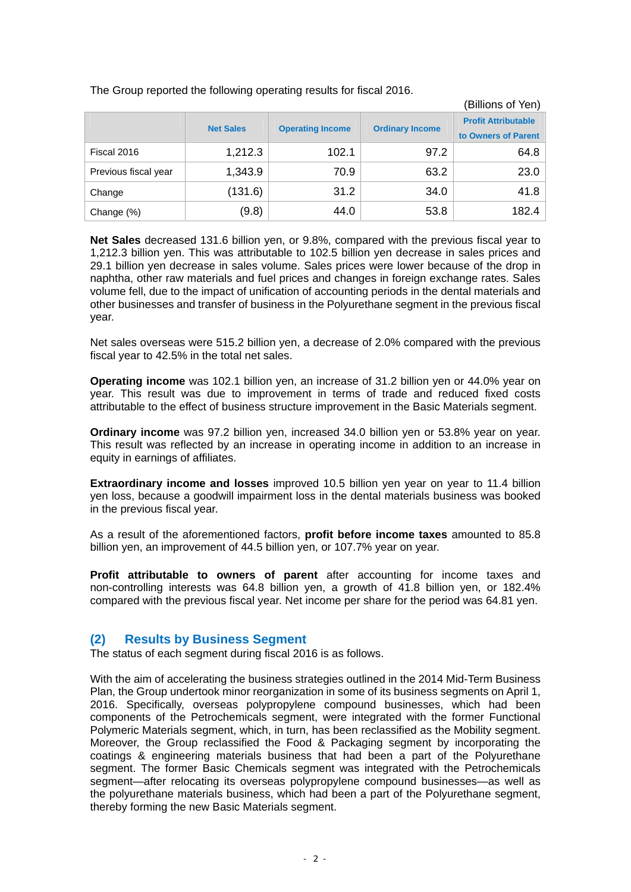|                      | (Billions of Yen) |                         |                        |                                                   |
|----------------------|-------------------|-------------------------|------------------------|---------------------------------------------------|
|                      | <b>Net Sales</b>  | <b>Operating Income</b> | <b>Ordinary Income</b> | <b>Profit Attributable</b><br>to Owners of Parent |
| Fiscal 2016          | 1,212.3           | 102.1                   | 97.2                   | 64.8                                              |
| Previous fiscal year | 1,343.9           | 70.9                    | 63.2                   | 23.0                                              |
| Change               | (131.6)           | 31.2                    | 34.0                   | 41.8                                              |
| Change (%)           | (9.8)             | 44.0                    | 53.8                   | 182.4                                             |

The Group reported the following operating results for fiscal 2016.

**Net Sales** decreased 131.6 billion yen, or 9.8%, compared with the previous fiscal year to 1,212.3 billion yen. This was attributable to 102.5 billion yen decrease in sales prices and 29.1 billion yen decrease in sales volume. Sales prices were lower because of the drop in naphtha, other raw materials and fuel prices and changes in foreign exchange rates. Sales volume fell, due to the impact of unification of accounting periods in the dental materials and other businesses and transfer of business in the Polyurethane segment in the previous fiscal year.

Net sales overseas were 515.2 billion yen, a decrease of 2.0% compared with the previous fiscal year to 42.5% in the total net sales.

**Operating income** was 102.1 billion yen, an increase of 31.2 billion yen or 44.0% year on year. This result was due to improvement in terms of trade and reduced fixed costs attributable to the effect of business structure improvement in the Basic Materials segment.

**Ordinary income** was 97.2 billion yen, increased 34.0 billion yen or 53.8% year on year. This result was reflected by an increase in operating income in addition to an increase in equity in earnings of affiliates.

**Extraordinary income and losses** improved 10.5 billion yen year on year to 11.4 billion yen loss, because a goodwill impairment loss in the dental materials business was booked in the previous fiscal year.

As a result of the aforementioned factors, **profit before income taxes** amounted to 85.8 billion yen, an improvement of 44.5 billion yen, or 107.7% year on year.

**Profit attributable to owners of parent** after accounting for income taxes and non-controlling interests was 64.8 billion yen, a growth of 41.8 billion yen, or 182.4% compared with the previous fiscal year. Net income per share for the period was 64.81 yen.

### **(2) Results by Business Segment**

The status of each segment during fiscal 2016 is as follows.

With the aim of accelerating the business strategies outlined in the 2014 Mid-Term Business Plan, the Group undertook minor reorganization in some of its business segments on April 1, 2016. Specifically, overseas polypropylene compound businesses, which had been components of the Petrochemicals segment, were integrated with the former Functional Polymeric Materials segment, which, in turn, has been reclassified as the Mobility segment. Moreover, the Group reclassified the Food & Packaging segment by incorporating the coatings & engineering materials business that had been a part of the Polyurethane segment. The former Basic Chemicals segment was integrated with the Petrochemicals segment—after relocating its overseas polypropylene compound businesses—as well as the polyurethane materials business, which had been a part of the Polyurethane segment, thereby forming the new Basic Materials segment.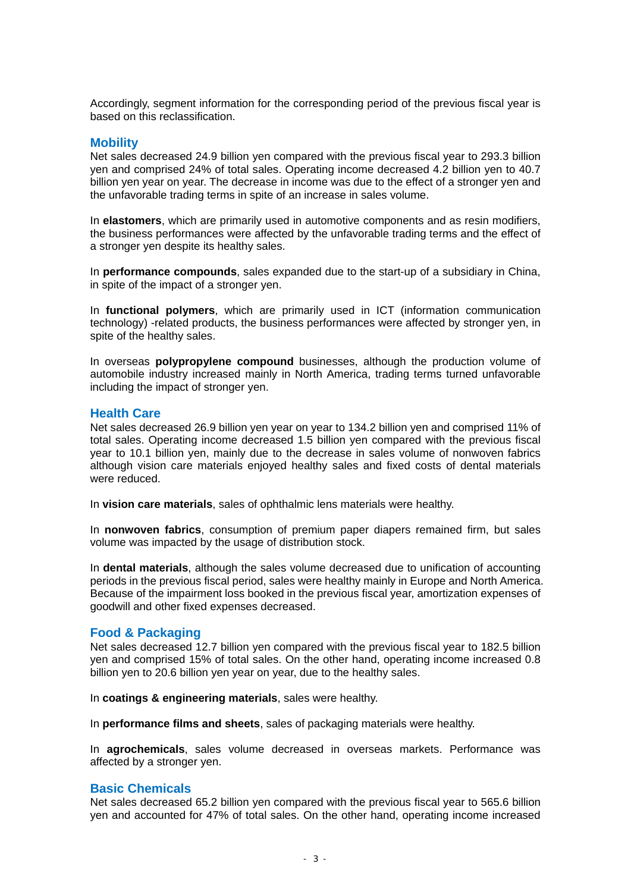Accordingly, segment information for the corresponding period of the previous fiscal year is based on this reclassification.

### **Mobility**

Net sales decreased 24.9 billion yen compared with the previous fiscal year to 293.3 billion yen and comprised 24% of total sales. Operating income decreased 4.2 billion yen to 40.7 billion yen year on year. The decrease in income was due to the effect of a stronger yen and the unfavorable trading terms in spite of an increase in sales volume.

In **elastomers**, which are primarily used in automotive components and as resin modifiers, the business performances were affected by the unfavorable trading terms and the effect of a stronger yen despite its healthy sales.

In **performance compounds**, sales expanded due to the start-up of a subsidiary in China, in spite of the impact of a stronger yen.

In **functional polymers**, which are primarily used in ICT (information communication technology) -related products, the business performances were affected by stronger yen, in spite of the healthy sales.

In overseas **polypropylene compound** businesses, although the production volume of automobile industry increased mainly in North America, trading terms turned unfavorable including the impact of stronger yen.

### **Health Care**

Net sales decreased 26.9 billion yen year on year to 134.2 billion yen and comprised 11% of total sales. Operating income decreased 1.5 billion yen compared with the previous fiscal year to 10.1 billion yen, mainly due to the decrease in sales volume of nonwoven fabrics although vision care materials enjoyed healthy sales and fixed costs of dental materials were reduced.

In **vision care materials**, sales of ophthalmic lens materials were healthy.

In **nonwoven fabrics**, consumption of premium paper diapers remained firm, but sales volume was impacted by the usage of distribution stock.

In **dental materials**, although the sales volume decreased due to unification of accounting periods in the previous fiscal period, sales were healthy mainly in Europe and North America. Because of the impairment loss booked in the previous fiscal year, amortization expenses of goodwill and other fixed expenses decreased.

### **Food & Packaging**

Net sales decreased 12.7 billion yen compared with the previous fiscal year to 182.5 billion yen and comprised 15% of total sales. On the other hand, operating income increased 0.8 billion yen to 20.6 billion yen year on year, due to the healthy sales.

In **coatings & engineering materials**, sales were healthy.

In **performance films and sheets**, sales of packaging materials were healthy.

In **agrochemicals**, sales volume decreased in overseas markets. Performance was affected by a stronger yen.

### **Basic Chemicals**

Net sales decreased 65.2 billion yen compared with the previous fiscal year to 565.6 billion yen and accounted for 47% of total sales. On the other hand, operating income increased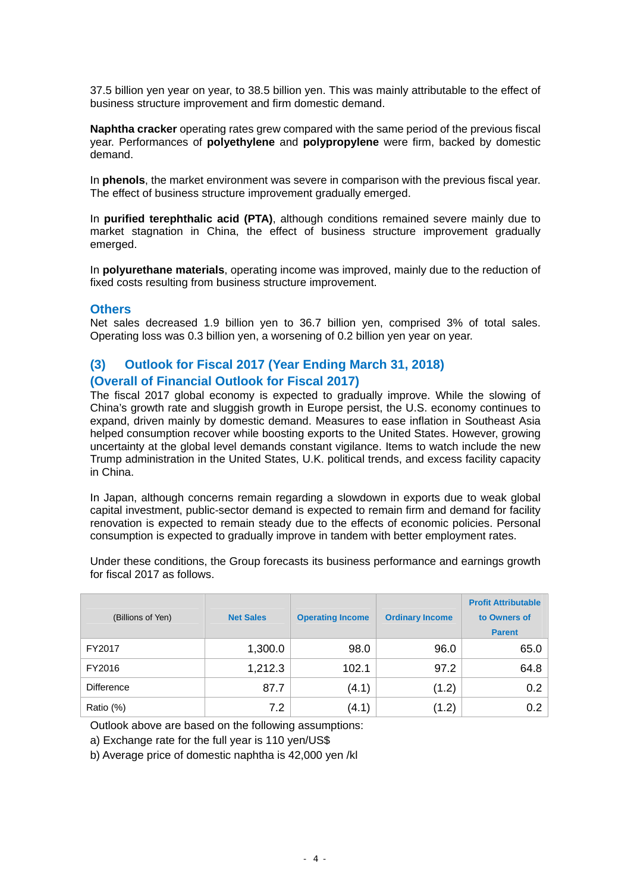37.5 billion yen year on year, to 38.5 billion yen. This was mainly attributable to the effect of business structure improvement and firm domestic demand.

**Naphtha cracker** operating rates grew compared with the same period of the previous fiscal year. Performances of **polyethylene** and **polypropylene** were firm, backed by domestic demand.

In **phenols**, the market environment was severe in comparison with the previous fiscal year. The effect of business structure improvement gradually emerged.

In **purified terephthalic acid (PTA)**, although conditions remained severe mainly due to market stagnation in China, the effect of business structure improvement gradually emerged.

In **polyurethane materials**, operating income was improved, mainly due to the reduction of fixed costs resulting from business structure improvement.

### **Others**

Net sales decreased 1.9 billion yen to 36.7 billion yen, comprised 3% of total sales. Operating loss was 0.3 billion yen, a worsening of 0.2 billion yen year on year.

### **(3) Outlook for Fiscal 2017 (Year Ending March 31, 2018) (Overall of Financial Outlook for Fiscal 2017)**

The fiscal 2017 global economy is expected to gradually improve. While the slowing of China's growth rate and sluggish growth in Europe persist, the U.S. economy continues to expand, driven mainly by domestic demand. Measures to ease inflation in Southeast Asia helped consumption recover while boosting exports to the United States. However, growing uncertainty at the global level demands constant vigilance. Items to watch include the new Trump administration in the United States, U.K. political trends, and excess facility capacity in China.

In Japan, although concerns remain regarding a slowdown in exports due to weak global capital investment, public-sector demand is expected to remain firm and demand for facility renovation is expected to remain steady due to the effects of economic policies. Personal consumption is expected to gradually improve in tandem with better employment rates.

Under these conditions, the Group forecasts its business performance and earnings growth for fiscal 2017 as follows.

| (Billions of Yen) | <b>Net Sales</b> | <b>Operating Income</b> | <b>Ordinary Income</b> | <b>Profit Attributable</b><br>to Owners of<br><b>Parent</b> |
|-------------------|------------------|-------------------------|------------------------|-------------------------------------------------------------|
| FY2017            | 1,300.0          | 98.0                    | 96.0                   | 65.0                                                        |
| FY2016            | 1,212.3          | 102.1                   | 97.2                   | 64.8                                                        |
| <b>Difference</b> | 87.7             | (4.1)                   | (1.2)                  | 0.2                                                         |
| Ratio (%)         | 7.2              | (4.1)                   | (1.2)                  | 0.2                                                         |

Outlook above are based on the following assumptions:

a) Exchange rate for the full year is 110 yen/US\$

b) Average price of domestic naphtha is 42,000 yen /kl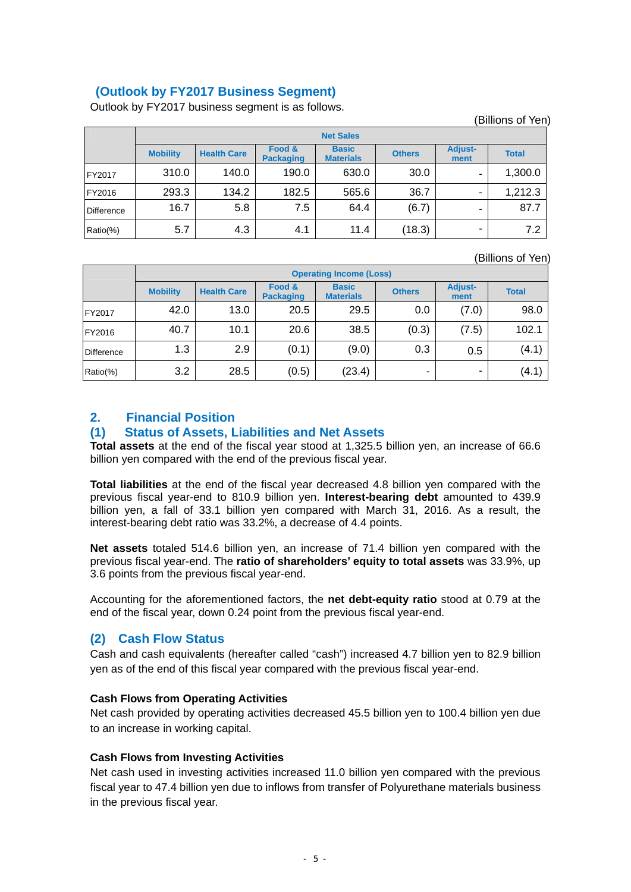# **(Outlook by FY2017 Business Segment)**

Outlook by FY2017 business segment is as follows.

|               |                  |                    |                            |                                  |               |                        | (Billions of Yen) |
|---------------|------------------|--------------------|----------------------------|----------------------------------|---------------|------------------------|-------------------|
|               | <b>Net Sales</b> |                    |                            |                                  |               |                        |                   |
|               | <b>Mobility</b>  | <b>Health Care</b> | Food &<br><b>Packaging</b> | <b>Basic</b><br><b>Materials</b> | <b>Others</b> | <b>Adjust-</b><br>ment | <b>Total</b>      |
| FY2017        | 310.0            | 140.0              | 190.0                      | 630.0                            | 30.0          | -                      | 1,300.0           |
| <b>FY2016</b> | 293.3            | 134.2              | 182.5                      | 565.6                            | 36.7          | -                      | 1,212.3           |
| Difference    | 16.7             | 5.8                | 7.5                        | 64.4                             | (6.7)         | -                      | 87.7              |
| Ratio(%)      | 5.7              | 4.3                | 4.1                        | 11.4                             | (18.3)        | -                      | 7.2               |

(Billions of Yen)

|                   | <b>Operating Income (Loss)</b> |                    |                            |                                  |               |                        |              |
|-------------------|--------------------------------|--------------------|----------------------------|----------------------------------|---------------|------------------------|--------------|
|                   | <b>Mobility</b>                | <b>Health Care</b> | Food &<br><b>Packaging</b> | <b>Basic</b><br><b>Materials</b> | <b>Others</b> | <b>Adjust-</b><br>ment | <b>Total</b> |
| FY2017            | 42.0                           | 13.0               | 20.5                       | 29.5                             | 0.0           | (7.0)                  | 98.0         |
| FY2016            | 40.7                           | 10.1               | 20.6                       | 38.5                             | (0.3)         | (7.5)                  | 102.1        |
| <b>Difference</b> | 1.3                            | 2.9                | (0.1)                      | (9.0)                            | 0.3           | 0.5                    | (4.1)        |
| Ratio(%)          | 3.2                            | 28.5               | (0.5)                      | (23.4)                           | -             | -                      | (4.1)        |

# **2. Financial Position**

### **(1) Status of Assets, Liabilities and Net Assets**

**Total assets** at the end of the fiscal year stood at 1,325.5 billion yen, an increase of 66.6 billion yen compared with the end of the previous fiscal year.

**Total liabilities** at the end of the fiscal year decreased 4.8 billion yen compared with the previous fiscal year-end to 810.9 billion yen. **Interest-bearing debt** amounted to 439.9 billion yen, a fall of 33.1 billion yen compared with March 31, 2016. As a result, the interest-bearing debt ratio was 33.2%, a decrease of 4.4 points.

**Net assets** totaled 514.6 billion yen, an increase of 71.4 billion yen compared with the previous fiscal year-end. The **ratio of shareholders' equity to total assets** was 33.9%, up 3.6 points from the previous fiscal year-end.

Accounting for the aforementioned factors, the **net debt-equity ratio** stood at 0.79 at the end of the fiscal year, down 0.24 point from the previous fiscal year-end.

## **(2) Cash Flow Status**

Cash and cash equivalents (hereafter called "cash") increased 4.7 billion yen to 82.9 billion yen as of the end of this fiscal year compared with the previous fiscal year-end.

### **Cash Flows from Operating Activities**

Net cash provided by operating activities decreased 45.5 billion yen to 100.4 billion yen due to an increase in working capital.

### **Cash Flows from Investing Activities**

Net cash used in investing activities increased 11.0 billion yen compared with the previous fiscal year to 47.4 billion yen due to inflows from transfer of Polyurethane materials business in the previous fiscal year.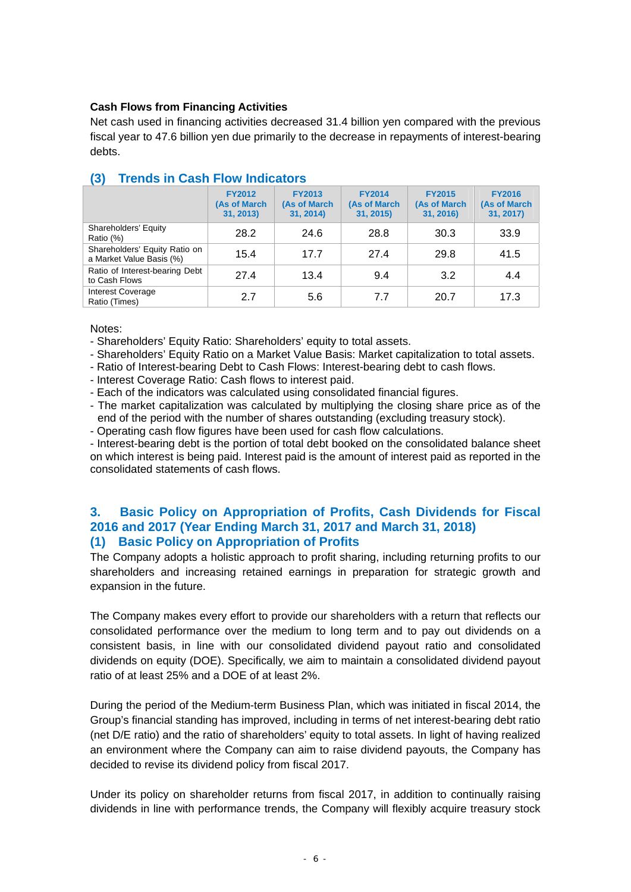### **Cash Flows from Financing Activities**

Net cash used in financing activities decreased 31.4 billion yen compared with the previous fiscal year to 47.6 billion yen due primarily to the decrease in repayments of interest-bearing debts.

|                                                           | <b>FY2012</b><br>(As of March<br>31, 2013) | <b>FY2013</b><br>(As of March<br>31, 2014) | <b>FY2014</b><br>(As of March<br>31, 2015) | <b>FY2015</b><br>(As of March<br>31, 2016) | <b>FY2016</b><br>(As of March<br>31, 2017) |
|-----------------------------------------------------------|--------------------------------------------|--------------------------------------------|--------------------------------------------|--------------------------------------------|--------------------------------------------|
| Shareholders' Equity<br>Ratio (%)                         | 28.2                                       | 24.6                                       | 28.8                                       | 30.3                                       | 33.9                                       |
| Shareholders' Equity Ratio on<br>a Market Value Basis (%) | 15.4                                       | 17.7                                       | 27.4                                       | 29.8                                       | 41.5                                       |
| Ratio of Interest-bearing Debt<br>to Cash Flows           | 27.4                                       | 13.4                                       | 9.4                                        | 3.2                                        | 4.4                                        |
| <b>Interest Coverage</b><br>Ratio (Times)                 | 2.7                                        | 5.6                                        | 7.7                                        | 20.7                                       | 17.3                                       |

# **(3) Trends in Cash Flow Indicators**

Notes:

- Shareholders' Equity Ratio: Shareholders' equity to total assets.

- Shareholders' Equity Ratio on a Market Value Basis: Market capitalization to total assets.

- Ratio of Interest-bearing Debt to Cash Flows: Interest-bearing debt to cash flows.

- Interest Coverage Ratio: Cash flows to interest paid.

- Each of the indicators was calculated using consolidated financial figures.

- The market capitalization was calculated by multiplying the closing share price as of the end of the period with the number of shares outstanding (excluding treasury stock).

- Operating cash flow figures have been used for cash flow calculations.

- Interest-bearing debt is the portion of total debt booked on the consolidated balance sheet on which interest is being paid. Interest paid is the amount of interest paid as reported in the consolidated statements of cash flows.

### **3. Basic Policy on Appropriation of Profits, Cash Dividends for Fiscal 2016 and 2017 (Year Ending March 31, 2017 and March 31, 2018) (1) Basic Policy on Appropriation of Profits**

The Company adopts a holistic approach to profit sharing, including returning profits to our shareholders and increasing retained earnings in preparation for strategic growth and expansion in the future.

The Company makes every effort to provide our shareholders with a return that reflects our consolidated performance over the medium to long term and to pay out dividends on a consistent basis, in line with our consolidated dividend payout ratio and consolidated dividends on equity (DOE). Specifically, we aim to maintain a consolidated dividend payout ratio of at least 25% and a DOE of at least 2%.

During the period of the Medium-term Business Plan, which was initiated in fiscal 2014, the Group's financial standing has improved, including in terms of net interest-bearing debt ratio (net D/E ratio) and the ratio of shareholders' equity to total assets. In light of having realized an environment where the Company can aim to raise dividend payouts, the Company has decided to revise its dividend policy from fiscal 2017.

Under its policy on shareholder returns from fiscal 2017, in addition to continually raising dividends in line with performance trends, the Company will flexibly acquire treasury stock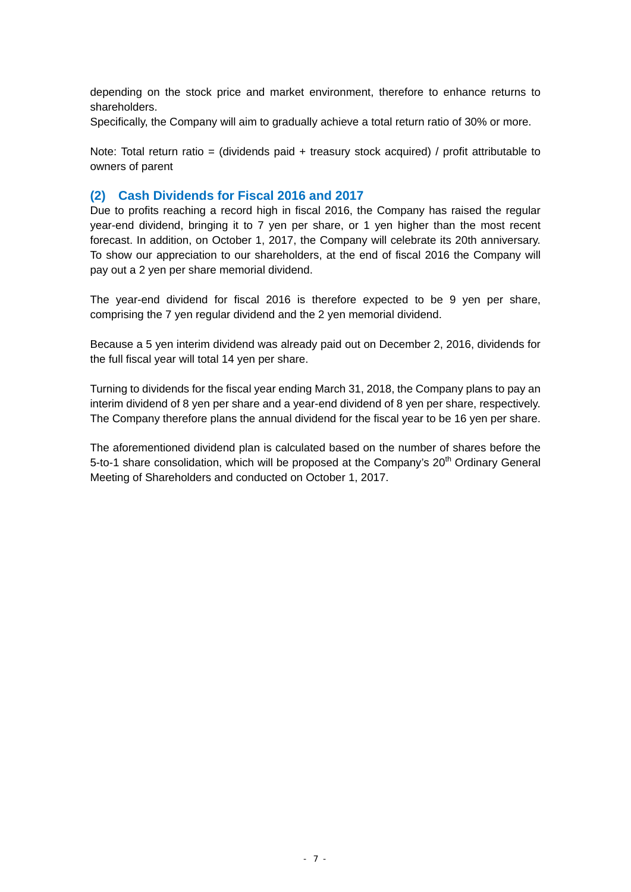depending on the stock price and market environment, therefore to enhance returns to shareholders.

Specifically, the Company will aim to gradually achieve a total return ratio of 30% or more.

Note: Total return ratio = (dividends paid + treasury stock acquired) / profit attributable to owners of parent

### **(2) Cash Dividends for Fiscal 2016 and 2017**

Due to profits reaching a record high in fiscal 2016, the Company has raised the regular year-end dividend, bringing it to 7 yen per share, or 1 yen higher than the most recent forecast. In addition, on October 1, 2017, the Company will celebrate its 20th anniversary. To show our appreciation to our shareholders, at the end of fiscal 2016 the Company will pay out a 2 yen per share memorial dividend.

The year-end dividend for fiscal 2016 is therefore expected to be 9 yen per share, comprising the 7 yen regular dividend and the 2 yen memorial dividend.

Because a 5 yen interim dividend was already paid out on December 2, 2016, dividends for the full fiscal year will total 14 yen per share.

Turning to dividends for the fiscal year ending March 31, 2018, the Company plans to pay an interim dividend of 8 yen per share and a year-end dividend of 8 yen per share, respectively. The Company therefore plans the annual dividend for the fiscal year to be 16 yen per share.

The aforementioned dividend plan is calculated based on the number of shares before the 5-to-1 share consolidation, which will be proposed at the Company's  $20<sup>th</sup>$  Ordinary General Meeting of Shareholders and conducted on October 1, 2017.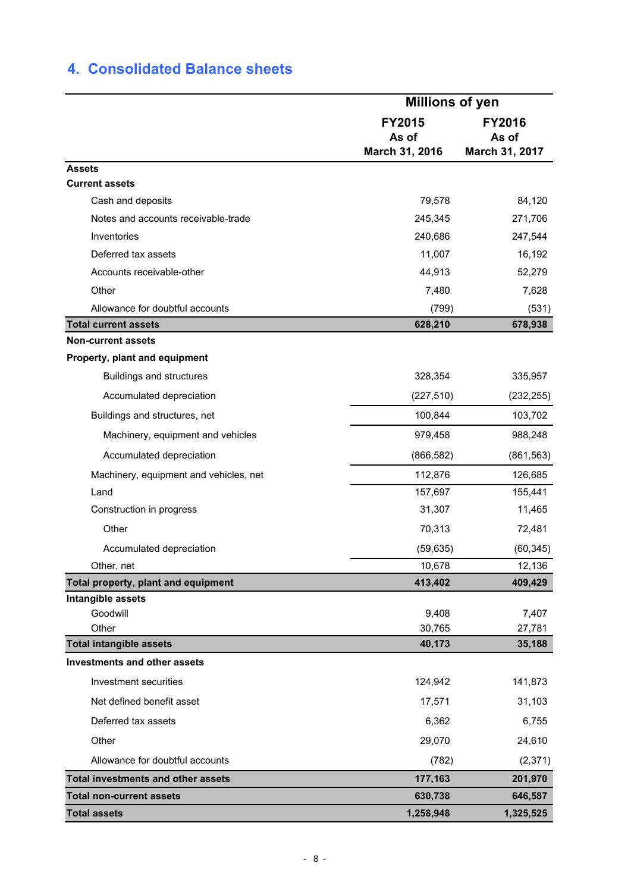# **4. Consolidated Balance sheets**

|                                                                  |                        | <b>Millions of yen</b> |  |  |  |
|------------------------------------------------------------------|------------------------|------------------------|--|--|--|
|                                                                  | <b>FY2015</b><br>As of | <b>FY2016</b><br>As of |  |  |  |
|                                                                  | March 31, 2016         | March 31, 2017         |  |  |  |
| <b>Assets</b>                                                    |                        |                        |  |  |  |
| <b>Current assets</b>                                            |                        |                        |  |  |  |
| Cash and deposits                                                | 79,578                 | 84,120                 |  |  |  |
| Notes and accounts receivable-trade                              | 245,345                | 271,706                |  |  |  |
| Inventories                                                      | 240,686                | 247,544                |  |  |  |
| Deferred tax assets                                              | 11,007                 | 16,192                 |  |  |  |
| Accounts receivable-other                                        | 44,913                 | 52,279                 |  |  |  |
| Other                                                            | 7,480                  | 7,628                  |  |  |  |
| Allowance for doubtful accounts                                  | (799)                  | (531)                  |  |  |  |
| <b>Total current assets</b>                                      | 628,210                | 678,938                |  |  |  |
| <b>Non-current assets</b>                                        |                        |                        |  |  |  |
| Property, plant and equipment<br><b>Buildings and structures</b> | 328,354                | 335,957                |  |  |  |
| Accumulated depreciation                                         | (227, 510)             | (232, 255)             |  |  |  |
| Buildings and structures, net                                    | 100,844                | 103,702                |  |  |  |
| Machinery, equipment and vehicles                                | 979,458                | 988,248                |  |  |  |
| Accumulated depreciation                                         | (866, 582)             | (861, 563)             |  |  |  |
| Machinery, equipment and vehicles, net                           | 112,876                | 126,685                |  |  |  |
| Land                                                             | 157,697                | 155,441                |  |  |  |
| Construction in progress                                         | 31,307                 | 11,465                 |  |  |  |
| Other                                                            | 70,313                 | 72,481                 |  |  |  |
| Accumulated depreciation                                         | (59, 635)              | (60, 345)              |  |  |  |
| Other, net                                                       | 10,678                 | 12,136                 |  |  |  |
| Total property, plant and equipment                              | 413,402                | 409,429                |  |  |  |
| Intangible assets                                                |                        |                        |  |  |  |
| Goodwill                                                         | 9,408                  | 7,407                  |  |  |  |
| Other                                                            | 30,765                 | 27,781                 |  |  |  |
| <b>Total intangible assets</b>                                   | 40,173                 | 35,188                 |  |  |  |
| <b>Investments and other assets</b>                              |                        |                        |  |  |  |
| Investment securities                                            | 124,942                | 141,873                |  |  |  |
| Net defined benefit asset                                        | 17,571                 | 31,103                 |  |  |  |
| Deferred tax assets                                              | 6,362                  | 6,755                  |  |  |  |
| Other                                                            | 29,070                 | 24,610                 |  |  |  |
| Allowance for doubtful accounts                                  | (782)                  | (2, 371)               |  |  |  |
| <b>Total investments and other assets</b>                        | 177,163                | 201,970                |  |  |  |
| <b>Total non-current assets</b>                                  | 630,738                | 646,587                |  |  |  |
| <b>Total assets</b>                                              | 1,258,948              | 1,325,525              |  |  |  |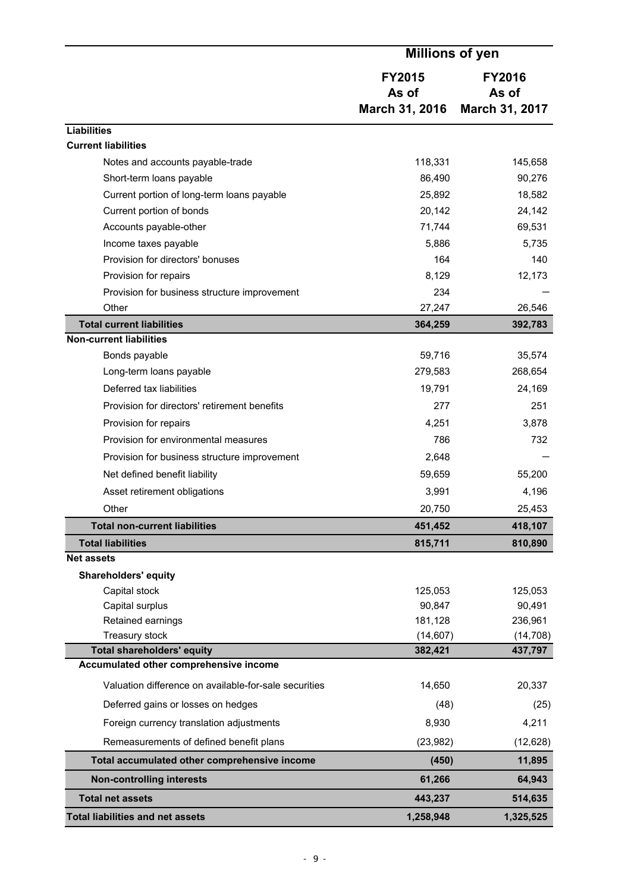|                                                       | <b>Millions of yen</b>                   |                                          |  |
|-------------------------------------------------------|------------------------------------------|------------------------------------------|--|
|                                                       | <b>FY2015</b><br>As of<br>March 31, 2016 | <b>FY2016</b><br>As of<br>March 31, 2017 |  |
| <b>Liabilities</b>                                    |                                          |                                          |  |
| <b>Current liabilities</b>                            |                                          |                                          |  |
| Notes and accounts payable-trade                      | 118,331                                  | 145,658                                  |  |
| Short-term loans payable                              | 86,490                                   | 90,276                                   |  |
| Current portion of long-term loans payable            | 25,892                                   | 18,582                                   |  |
| Current portion of bonds                              | 20,142                                   | 24,142                                   |  |
| Accounts payable-other                                | 71,744                                   | 69,531                                   |  |
| Income taxes payable                                  | 5,886                                    | 5,735                                    |  |
| Provision for directors' bonuses                      | 164                                      | 140                                      |  |
| Provision for repairs                                 | 8,129                                    | 12,173                                   |  |
| Provision for business structure improvement          | 234                                      |                                          |  |
| Other                                                 | 27,247                                   | 26,546                                   |  |
| <b>Total current liabilities</b>                      | 364,259                                  | 392,783                                  |  |
| <b>Non-current liabilities</b>                        | 59,716                                   |                                          |  |
| Bonds payable<br>Long-term loans payable              | 279,583                                  | 35,574<br>268,654                        |  |
| Deferred tax liabilities                              | 19,791                                   | 24,169                                   |  |
| Provision for directors' retirement benefits          | 277                                      | 251                                      |  |
|                                                       |                                          |                                          |  |
| Provision for repairs                                 | 4,251                                    | 3,878                                    |  |
| Provision for environmental measures                  | 786                                      | 732                                      |  |
| Provision for business structure improvement          | 2,648                                    |                                          |  |
| Net defined benefit liability                         | 59,659                                   | 55,200                                   |  |
| Asset retirement obligations                          | 3,991                                    | 4,196                                    |  |
| Other                                                 | 20,750                                   | 25,453                                   |  |
| <b>Total non-current liabilities</b>                  | 451,452                                  | 418,107                                  |  |
| <b>Total liabilities</b><br><b>Net assets</b>         | 815,711                                  | 810,890                                  |  |
| <b>Shareholders' equity</b>                           |                                          |                                          |  |
| Capital stock                                         | 125,053                                  | 125,053                                  |  |
| Capital surplus                                       | 90,847                                   | 90,491                                   |  |
| Retained earnings                                     | 181,128                                  | 236,961                                  |  |
| Treasury stock                                        | (14, 607)                                | (14, 708)                                |  |
| <b>Total shareholders' equity</b>                     | 382,421                                  | 437,797                                  |  |
| Accumulated other comprehensive income                |                                          |                                          |  |
| Valuation difference on available-for-sale securities | 14,650                                   | 20,337                                   |  |
| Deferred gains or losses on hedges                    | (48)                                     | (25)                                     |  |
| Foreign currency translation adjustments              | 8,930                                    | 4,211                                    |  |
| Remeasurements of defined benefit plans               | (23, 982)                                | (12, 628)                                |  |
| Total accumulated other comprehensive income          | (450)                                    | 11,895                                   |  |
| <b>Non-controlling interests</b>                      | 61,266                                   | 64,943                                   |  |
| <b>Total net assets</b>                               | 443,237                                  | 514,635                                  |  |
| <b>Total liabilities and net assets</b>               | 1,258,948                                | 1,325,525                                |  |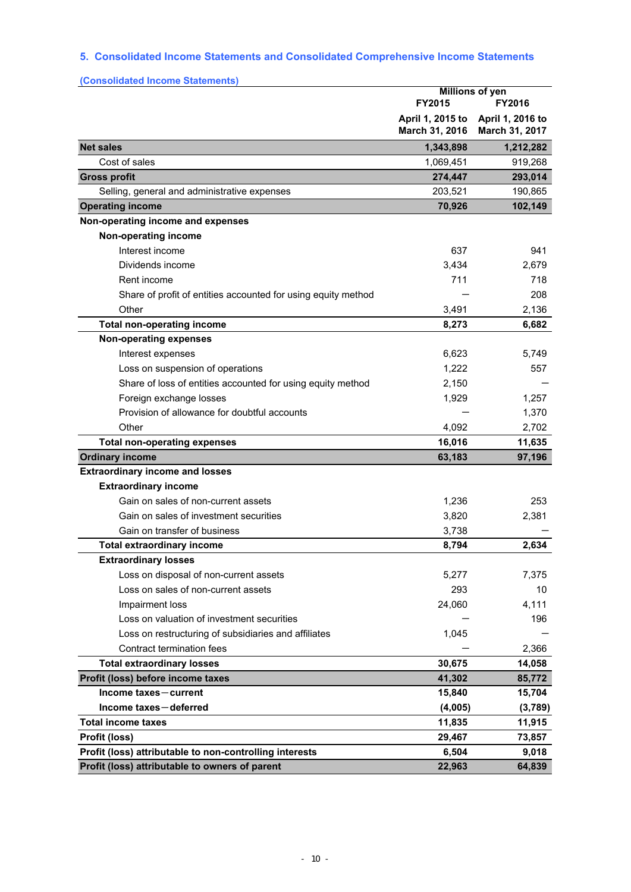# **5. Consolidated Income Statements and Consolidated Comprehensive Income Statements**

| (Consolidated Income Statements)                              |                                            |                                    |  |
|---------------------------------------------------------------|--------------------------------------------|------------------------------------|--|
|                                                               | <b>Millions of yen</b><br>FY2015<br>FY2016 |                                    |  |
|                                                               | April 1, 2015 to<br>March 31, 2016         | April 1, 2016 to<br>March 31, 2017 |  |
| <b>Net sales</b>                                              | 1,343,898                                  | 1,212,282                          |  |
| Cost of sales                                                 | 1,069,451                                  | 919,268                            |  |
| <b>Gross profit</b>                                           | 274,447                                    | 293,014                            |  |
| Selling, general and administrative expenses                  | 203,521                                    | 190,865                            |  |
| <b>Operating income</b>                                       | 70,926                                     | 102,149                            |  |
| Non-operating income and expenses                             |                                            |                                    |  |
| Non-operating income                                          |                                            |                                    |  |
| Interest income                                               | 637                                        | 941                                |  |
| Dividends income                                              | 3,434                                      | 2,679                              |  |
| Rent income                                                   | 711                                        | 718                                |  |
| Share of profit of entities accounted for using equity method |                                            | 208                                |  |
| Other                                                         | 3,491                                      | 2,136                              |  |
| <b>Total non-operating income</b>                             | 8,273                                      | 6,682                              |  |
| <b>Non-operating expenses</b>                                 |                                            |                                    |  |
| Interest expenses                                             | 6,623                                      | 5,749                              |  |
| Loss on suspension of operations                              | 1,222                                      | 557                                |  |
| Share of loss of entities accounted for using equity method   | 2,150                                      |                                    |  |
| Foreign exchange losses                                       | 1,929                                      | 1,257                              |  |
| Provision of allowance for doubtful accounts                  |                                            | 1,370                              |  |
| Other                                                         | 4,092                                      | 2,702                              |  |
| <b>Total non-operating expenses</b>                           | 16,016                                     | 11,635                             |  |
| <b>Ordinary income</b>                                        | 63,183                                     | 97,196                             |  |
| <b>Extraordinary income and losses</b>                        |                                            |                                    |  |
| <b>Extraordinary income</b>                                   |                                            |                                    |  |
| Gain on sales of non-current assets                           | 1,236                                      | 253                                |  |
| Gain on sales of investment securities                        | 3,820                                      | 2,381                              |  |
| Gain on transfer of business                                  | 3,738                                      |                                    |  |
| <b>Total extraordinary income</b>                             | 8,794                                      | 2,634                              |  |
| <b>Extraordinary losses</b>                                   |                                            |                                    |  |
| Loss on disposal of non-current assets                        | 5,277                                      | 7,375                              |  |
| Loss on sales of non-current assets                           | 293                                        | 10                                 |  |
| Impairment loss                                               | 24,060                                     | 4,111                              |  |
| Loss on valuation of investment securities                    |                                            | 196                                |  |
| Loss on restructuring of subsidiaries and affiliates          | 1,045                                      |                                    |  |
| Contract termination fees                                     |                                            | 2,366                              |  |
| <b>Total extraordinary losses</b>                             | 30,675                                     | 14,058                             |  |
| Profit (loss) before income taxes                             | 41,302                                     | 85,772                             |  |
| Income taxes-current                                          | 15,840                                     | 15,704                             |  |
| Income taxes-deferred                                         | (4,005)                                    | (3,789)                            |  |
| <b>Total income taxes</b>                                     | 11,835                                     | 11,915                             |  |
| Profit (loss)                                                 | 29,467                                     | 73,857                             |  |
| Profit (loss) attributable to non-controlling interests       | 6,504                                      | 9,018                              |  |
| Profit (loss) attributable to owners of parent                | 22,963                                     | 64,839                             |  |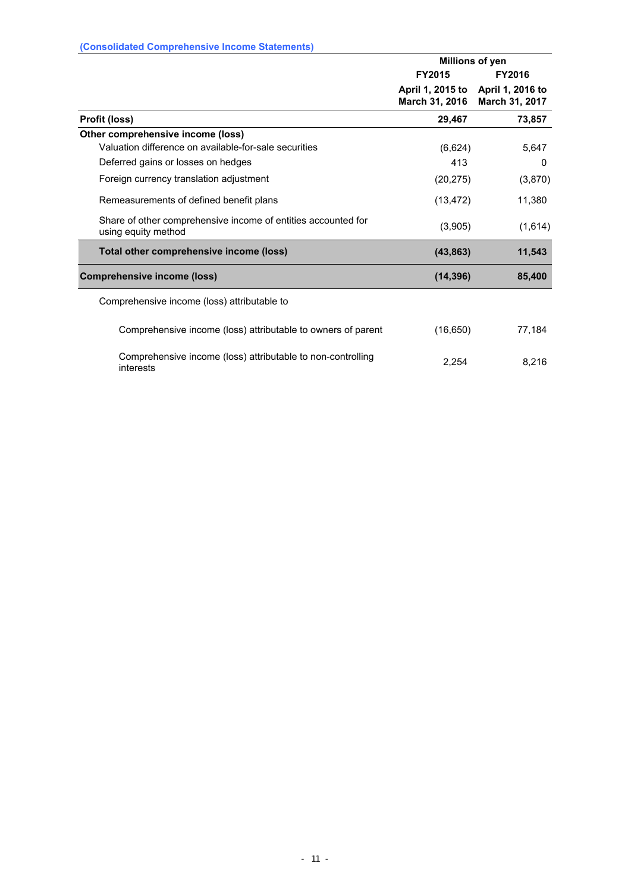| (Consolidated Comprehensive income Statements)                                       |                                                     |                 |
|--------------------------------------------------------------------------------------|-----------------------------------------------------|-----------------|
|                                                                                      |                                                     | Millions of yen |
|                                                                                      | FY2015                                              | <b>FY2016</b>   |
|                                                                                      | April 1, 2015 to April 1, 2016 to<br>March 31, 2016 | March 31, 2017  |
| Profit (loss)                                                                        | 29,467                                              | 73,857          |
| Other comprehensive income (loss)                                                    |                                                     |                 |
| Valuation difference on available-for-sale securities                                | (6,624)                                             | 5,647           |
| Deferred gains or losses on hedges                                                   | 413                                                 | $\Omega$        |
| Foreign currency translation adjustment                                              | (20, 275)                                           | (3,870)         |
| Remeasurements of defined benefit plans                                              | (13, 472)                                           | 11,380          |
| Share of other comprehensive income of entities accounted for<br>using equity method | (3,905)                                             | (1,614)         |
| Total other comprehensive income (loss)                                              | (43, 863)                                           | 11,543          |
| <b>Comprehensive income (loss)</b>                                                   | (14, 396)                                           | 85,400          |
| Comprehensive income (loss) attributable to                                          |                                                     |                 |
| Comprehensive income (loss) attributable to owners of parent                         | (16, 650)                                           | 77,184          |
| Comprehensive income (loss) attributable to non-controlling<br>interests             | 2,254                                               | 8,216           |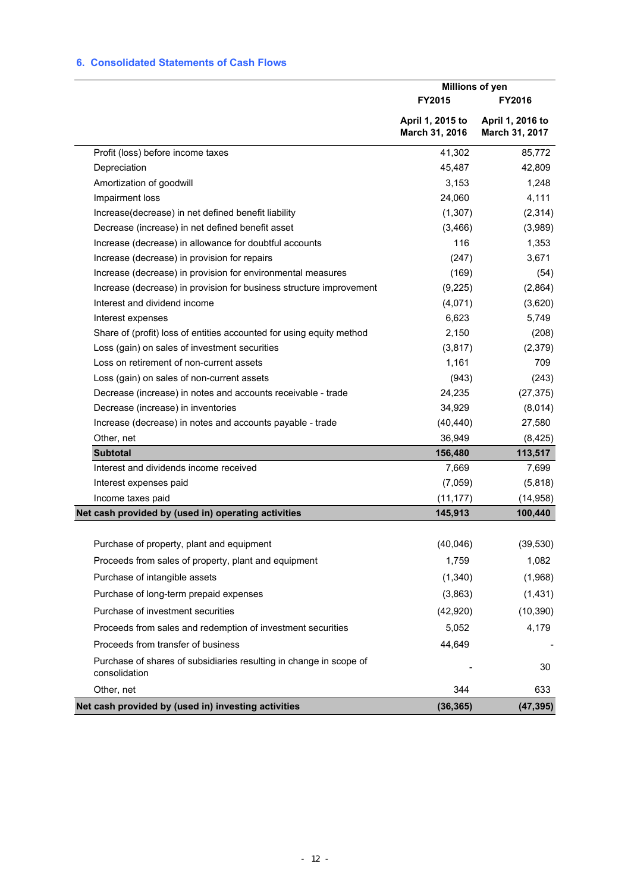### **6. Consolidated Statements of Cash Flows**

|                                                                                     | Millions of yen                    |                                    |
|-------------------------------------------------------------------------------------|------------------------------------|------------------------------------|
|                                                                                     | FY2015                             | <b>FY2016</b>                      |
|                                                                                     | April 1, 2015 to<br>March 31, 2016 | April 1, 2016 to<br>March 31, 2017 |
| Profit (loss) before income taxes                                                   | 41,302                             | 85,772                             |
| Depreciation                                                                        | 45,487                             | 42,809                             |
| Amortization of goodwill                                                            | 3,153                              | 1,248                              |
| Impairment loss                                                                     | 24,060                             | 4,111                              |
| Increase(decrease) in net defined benefit liability                                 | (1, 307)                           | (2, 314)                           |
| Decrease (increase) in net defined benefit asset                                    | (3, 466)                           | (3,989)                            |
| Increase (decrease) in allowance for doubtful accounts                              | 116                                | 1,353                              |
| Increase (decrease) in provision for repairs                                        | (247)                              | 3,671                              |
| Increase (decrease) in provision for environmental measures                         | (169)                              | (54)                               |
| Increase (decrease) in provision for business structure improvement                 | (9,225)                            | (2,864)                            |
| Interest and dividend income                                                        | (4,071)                            | (3,620)                            |
| Interest expenses                                                                   | 6,623                              | 5,749                              |
| Share of (profit) loss of entities accounted for using equity method                | 2,150                              | (208)                              |
| Loss (gain) on sales of investment securities                                       | (3, 817)                           | (2, 379)                           |
| Loss on retirement of non-current assets                                            | 1,161                              | 709                                |
| Loss (gain) on sales of non-current assets                                          | (943)                              | (243)                              |
| Decrease (increase) in notes and accounts receivable - trade                        | 24,235                             | (27, 375)                          |
| Decrease (increase) in inventories                                                  | 34,929                             | (8,014)                            |
| Increase (decrease) in notes and accounts payable - trade                           | (40, 440)                          | 27,580                             |
| Other, net                                                                          | 36,949                             | (8, 425)                           |
| <b>Subtotal</b>                                                                     | 156,480                            | 113,517                            |
| Interest and dividends income received                                              | 7,669                              | 7,699                              |
| Interest expenses paid                                                              | (7,059)                            | (5,818)                            |
| Income taxes paid                                                                   | (11, 177)                          | (14, 958)                          |
| Net cash provided by (used in) operating activities                                 | 145,913                            | 100,440                            |
| Purchase of property, plant and equipment                                           | (40,046)                           | (39, 530)                          |
| Proceeds from sales of property, plant and equipment                                | 1,759                              | 1,082                              |
| Purchase of intangible assets                                                       | (1,340)                            | (1,968)                            |
| Purchase of long-term prepaid expenses                                              | (3,863)                            | (1,431)                            |
| Purchase of investment securities                                                   | (42, 920)                          | (10, 390)                          |
| Proceeds from sales and redemption of investment securities                         | 5,052                              | 4,179                              |
| Proceeds from transfer of business                                                  | 44,649                             |                                    |
| Purchase of shares of subsidiaries resulting in change in scope of<br>consolidation |                                    | 30                                 |
| Other, net                                                                          | 344                                | 633                                |
| Net cash provided by (used in) investing activities                                 | (36, 365)                          | (47, 395)                          |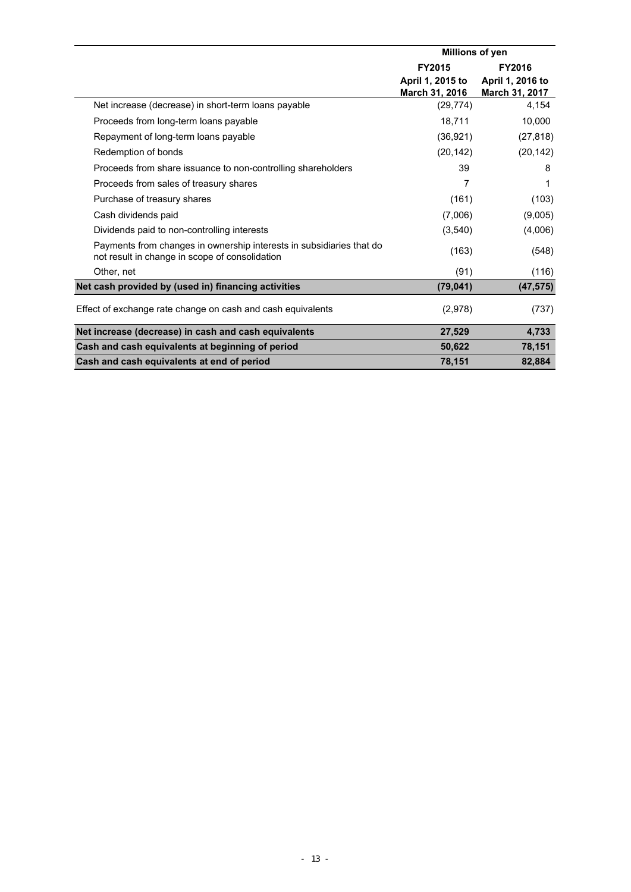|                                                                                                                        | Millions of yen                           |                                    |  |
|------------------------------------------------------------------------------------------------------------------------|-------------------------------------------|------------------------------------|--|
|                                                                                                                        | FY2015                                    | FY2016                             |  |
|                                                                                                                        | April 1, 2015 to<br><b>March 31, 2016</b> | April 1, 2016 to<br>March 31, 2017 |  |
| Net increase (decrease) in short-term loans payable                                                                    | (29, 774)                                 | 4,154                              |  |
| Proceeds from long-term loans payable                                                                                  | 18,711                                    | 10,000                             |  |
| Repayment of long-term loans payable                                                                                   | (36, 921)                                 | (27, 818)                          |  |
| Redemption of bonds                                                                                                    | (20, 142)                                 | (20, 142)                          |  |
| Proceeds from share issuance to non-controlling shareholders                                                           | 39                                        | 8                                  |  |
| Proceeds from sales of treasury shares                                                                                 | 7                                         | 1                                  |  |
| Purchase of treasury shares                                                                                            | (161)                                     | (103)                              |  |
| Cash dividends paid                                                                                                    | (7,006)                                   | (9,005)                            |  |
| Dividends paid to non-controlling interests                                                                            | (3, 540)                                  | (4,006)                            |  |
| Payments from changes in ownership interests in subsidiaries that do<br>not result in change in scope of consolidation | (163)                                     | (548)                              |  |
| Other, net                                                                                                             | (91)                                      | (116)                              |  |
| Net cash provided by (used in) financing activities                                                                    | (79, 041)                                 | (47, 575)                          |  |
| Effect of exchange rate change on cash and cash equivalents                                                            | (2,978)                                   | (737)                              |  |
| Net increase (decrease) in cash and cash equivalents                                                                   | 27,529                                    | 4,733                              |  |
| Cash and cash equivalents at beginning of period                                                                       | 50,622                                    | 78,151                             |  |
| Cash and cash equivalents at end of period                                                                             | 78,151                                    | 82,884                             |  |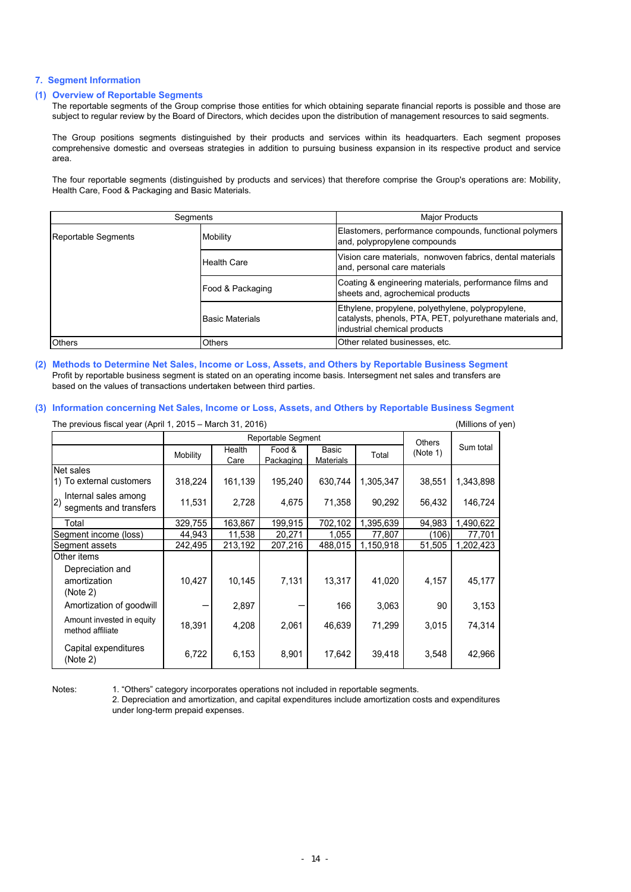#### **7. Segment Information**

#### **(1) Overview of Reportable Segments**

The reportable segments of the Group comprise those entities for which obtaining separate financial reports is possible and those are subject to regular review by the Board of Directors, which decides upon the distribution of management resources to said segments.

The Group positions segments distinguished by their products and services within its headquarters. Each segment proposes comprehensive domestic and overseas strategies in addition to pursuing business expansion in its respective product and service area.

The four reportable segments (distinguished by products and services) that therefore comprise the Group's operations are: Mobility, Health Care, Food & Packaging and Basic Materials.

| Segments            |                         | <b>Major Products</b>                                                                                                                          |  |  |
|---------------------|-------------------------|------------------------------------------------------------------------------------------------------------------------------------------------|--|--|
| Reportable Segments | Mobility                | Elastomers, performance compounds, functional polymers<br>and, polypropylene compounds                                                         |  |  |
|                     | <b>Health Care</b>      | Vision care materials, nonwoven fabrics, dental materials<br>and, personal care materials                                                      |  |  |
|                     | Food & Packaging        | Coating & engineering materials, performance films and<br>sheets and, agrochemical products                                                    |  |  |
|                     | <b>IBasic Materials</b> | Ethylene, propylene, polyethylene, polypropylene,<br>catalysts, phenols, PTA, PET, polyurethane materials and,<br>industrial chemical products |  |  |
| <b>Others</b>       | <b>Others</b>           | Other related businesses, etc.                                                                                                                 |  |  |

**(2) Methods to Determine Net Sales, Income or Loss, Assets, and Others by Reportable Business Segment** Profit by reportable business segment is stated on an operating income basis. Intersegment net sales and transfers are based on the values of transactions undertaken between third parties.

#### **(3) Information concerning Net Sales, Income or Loss, Assets, and Others by Reportable Business Segment**

| The previous fiscal year (April 1, 2015 – March 31, 2016) |          |                |                     |                    |           |               |           |  |
|-----------------------------------------------------------|----------|----------------|---------------------|--------------------|-----------|---------------|-----------|--|
|                                                           |          |                | Reportable Segment  |                    |           | <b>Others</b> |           |  |
|                                                           | Mobility | Health<br>Care | Food &<br>Packaging | Basic<br>Materials | Total     | (Note 1)      | Sum total |  |
| Net sales                                                 |          |                |                     |                    |           |               |           |  |
| 1) To external customers                                  | 318,224  | 161,139        | 195,240             | 630,744            | 1,305,347 | 38,551        | 1,343,898 |  |
| Internal sales among<br>(2)<br>segments and transfers     | 11,531   | 2,728          | 4,675               | 71,358             | 90,292    | 56,432        | 146,724   |  |
| Total                                                     | 329,755  | 163,867        | 199,915             | 702,102            | 1,395,639 | 94,983        | ,490,622  |  |
| Segment income (loss)                                     | 44,943   | 11,538         | 20,271              | 1,055              | 77,807    | (106)         | 77,701    |  |
| Segment assets                                            | 242,495  | 213,192        | 207,216             | 488,015            | 1,150,918 | 51,505        | 1,202,423 |  |
| Other items                                               |          |                |                     |                    |           |               |           |  |
| Depreciation and<br>amortization<br>(Note 2)              | 10,427   | 10,145         | 7,131               | 13,317             | 41,020    | 4,157         | 45,177    |  |
| Amortization of goodwill                                  |          | 2,897          |                     | 166                | 3,063     | 90            | 3,153     |  |
| Amount invested in equity<br>method affiliate             | 18,391   | 4,208          | 2,061               | 46,639             | 71,299    | 3,015         | 74,314    |  |
| Capital expenditures<br>(Note 2)                          | 6,722    | 6,153          | 8,901               | 17,642             | 39,418    | 3,548         | 42,966    |  |

Notes: 1. "Others" category incorporates operations not included in reportable segments.

2. Depreciation and amortization, and capital expenditures include amortization costs and expenditures under long-term prepaid expenses.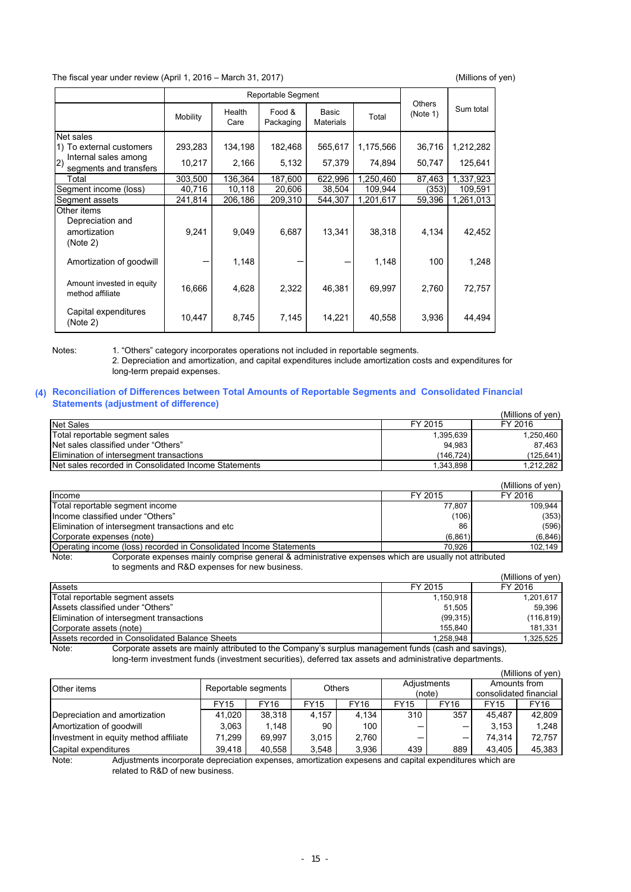The fiscal year under review (April 1, 2016 – March 31, 2017) (Millions of yen)

|                                                             |          | <b>Reportable Segment</b> |                     |                           |           |                           |           |  |
|-------------------------------------------------------------|----------|---------------------------|---------------------|---------------------------|-----------|---------------------------|-----------|--|
|                                                             | Mobility | Health<br>Care            | Food &<br>Packaging | Basic<br><b>Materials</b> | Total     | <b>Others</b><br>(Note 1) | Sum total |  |
| Net sales                                                   |          |                           |                     |                           |           |                           |           |  |
| 1) To external customers                                    | 293,283  | 134,198                   | 182,468             | 565,617                   | 1,175,566 | 36,716                    | 1,212,282 |  |
| Internal sales among<br> 2)<br>segments and transfers       | 10,217   | 2,166                     | 5,132               | 57,379                    | 74,894    | 50,747                    | 125,641   |  |
| Total                                                       | 303,500  | 136,364                   | 187,600             | 622,996                   | 1,250,460 | 87,463                    | 1,337,923 |  |
| Segment income (loss)                                       | 40,716   | 10,118                    | 20,606              | 38,504                    | 109,944   | (353)                     | 109,591   |  |
| Segment assets                                              | 241,814  | 206,186                   | 209,310             | 544,307                   | 1,201,617 | 59,396                    | 1,261,013 |  |
| Other items<br>Depreciation and<br>amortization<br>(Note 2) | 9,241    | 9,049                     | 6,687               | 13,341                    | 38,318    | 4,134                     | 42,452    |  |
| Amortization of goodwill                                    |          | 1,148                     |                     |                           | 1,148     | 100                       | 1,248     |  |
| Amount invested in equity<br>method affiliate               | 16,666   | 4,628                     | 2,322               | 46,381                    | 69,997    | 2,760                     | 72,757    |  |
| Capital expenditures<br>(Note 2)                            | 10,447   | 8,745                     | 7,145               | 14,221                    | 40,558    | 3,936                     | 44,494    |  |

Notes: 1. "Others" category incorporates operations not included in reportable segments.

2. Depreciation and amortization, and capital expenditures include amortization costs and expenditures for long-term prepaid expenses.

#### **(4) Reconciliation of Differences between Total Amounts of Reportable Segments and Consolidated Financial Statements (adjustment of difference)**

|                                                      |           | (Millions of ven) |
|------------------------------------------------------|-----------|-------------------|
| <b>Net Sales</b>                                     | FY 2015   | FY 2016           |
| Total reportable segment sales                       | 1,395,639 | 1,250,460         |
| Net sales classified under "Others"                  | 94.983    | 87.463            |
| <b>Elimination of intersegment transactions</b>      | (146.724) | (125,641)         |
| Net sales recorded in Consolidated Income Statements | 1.343.898 | 1,212,282         |

|                                                                                                                |         | (Millions of ven) |  |  |  |  |
|----------------------------------------------------------------------------------------------------------------|---------|-------------------|--|--|--|--|
| Income                                                                                                         | FY 2015 | FY 2016           |  |  |  |  |
| Total reportable segment income                                                                                | 77.807  | 109.944           |  |  |  |  |
| Income classified under "Others"                                                                               | (106)   | (353)             |  |  |  |  |
| Elimination of intersegment transactions and etc                                                               | 86      | (596)             |  |  |  |  |
| Corporate expenses (note)                                                                                      | (6,861) | (6, 846)          |  |  |  |  |
| Operating income (loss) recorded in Consolidated Income Statements                                             | 70.926  | 102,149           |  |  |  |  |
| Corporate expenses mainly comprise general & administrative expenses which are usually not attributed<br>Note: |         |                   |  |  |  |  |

to segments and R&D expenses for new business.

|                                                |           | (Millions of ven) |
|------------------------------------------------|-----------|-------------------|
| Assets                                         | FY 2015   | FY 2016           |
| Total reportable segment assets                | 1,150,918 | 1,201,617         |
| Assets classified under "Others"               | 51.505    | 59.396            |
| Elimination of intersegment transactions       | (99,315)  | (116, 819)        |
| Corporate assets (note)                        | 155.840   | 181,331           |
| Assets recorded in Consolidated Balance Sheets | 1,258,948 | 1,325,525         |

Note: Corporate assets are mainly attributed to the Company's surplus management funds (cash and savings), long-term investment funds (investment securities), deferred tax assets and administrative departments.

|                                       |                     |        |               |             |             |                          |                        | (Millions of yen) |
|---------------------------------------|---------------------|--------|---------------|-------------|-------------|--------------------------|------------------------|-------------------|
| Other items                           | Reportable segments |        |               |             | Adjustments |                          |                        | Amounts from      |
|                                       |                     |        | <b>Others</b> |             | (note)      |                          | consolidated financial |                   |
|                                       | <b>FY15</b>         | FY16   | <b>FY15</b>   | <b>FY16</b> | <b>FY15</b> | <b>FY16</b>              | <b>FY15</b>            | FY16              |
| Depreciation and amortization         | 41.020              | 38.318 | 4.157         | 4.134       | 310         | 357                      | 45.487                 | 42.809            |
| Amortization of goodwill              | 3.063               | 1.148  | 90            | 100         |             |                          | 3.153                  | 1.248             |
| Investment in equity method affiliate | 71.299              | 69.997 | 3.015         | 2.760       |             | $\overline{\phantom{0}}$ | 74.314                 | 72.757            |
| Capital expenditures                  | 39.418              | 40,558 | 3.548         | 3.936       | 439         | 889                      | 43.405                 | 45.383            |

Note: Adjustments incorporate depreciation expenses, amortization expesens and capital expenditures which are related to R&D of new business.